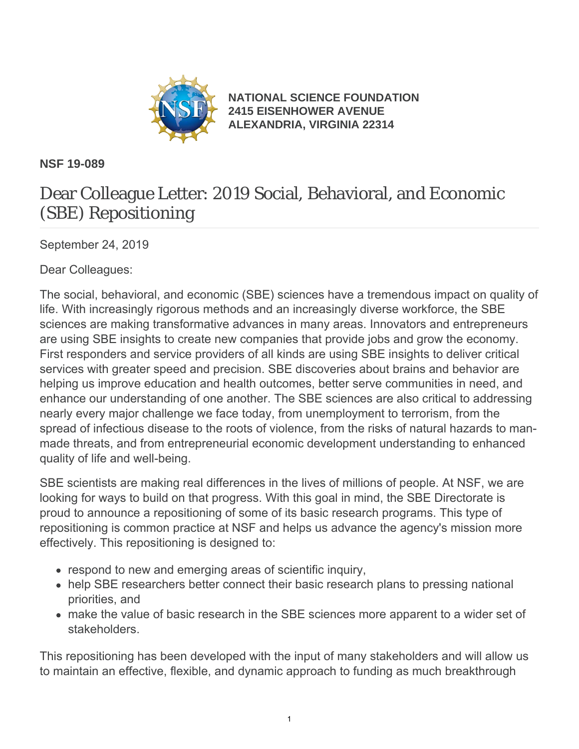

**[NATIONAL SCIENCE FOUNDATION](https://www.nsf.gov/) [2415 EISENHOWER AVENUE](https://www.nsf.gov/) [ALEXANDRIA, VIRGINIA 22314](https://www.nsf.gov/)**

#### **NSF 19-089**

# Dear Colleague Letter: 2019 Social, Behavioral, and Economic (SBE) Repositioning

September 24, 2019

Dear Colleagues:

The social, behavioral, and economic (SBE) sciences have a tremendous impact on quality of life. With increasingly rigorous methods and an increasingly diverse workforce, the SBE sciences are making transformative advances in many areas. Innovators and entrepreneurs are using SBE insights to create new companies that provide jobs and grow the economy. First responders and service providers of all kinds are using SBE insights to deliver critical services with greater speed and precision. SBE discoveries about brains and behavior are helping us improve education and health outcomes, better serve communities in need, and enhance our understanding of one another. The SBE sciences are also critical to addressing nearly every major challenge we face today, from unemployment to terrorism, from the spread of infectious disease to the roots of violence, from the risks of natural hazards to manmade threats, and from entrepreneurial economic development understanding to enhanced quality of life and well-being.

SBE scientists are making real differences in the lives of millions of people. At NSF, we are looking for ways to build on that progress. With this goal in mind, the SBE Directorate is proud to announce a repositioning of some of its basic research programs. This type of repositioning is common practice at NSF and helps us advance the agency's mission more effectively. This repositioning is designed to:

- respond to new and emerging areas of scientific inquiry,
- help SBE researchers better connect their basic research plans to pressing national priorities, and
- make the value of basic research in the SBE sciences more apparent to a wider set of stakeholders.

This repositioning has been developed with the input of many stakeholders and will allow us to maintain an effective, flexible, and dynamic approach to funding as much breakthrough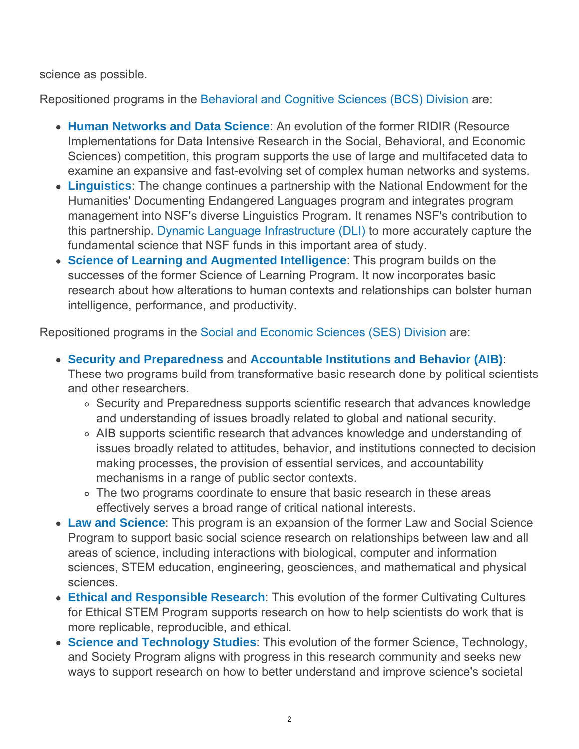science as possible.

Repositioned programs in the [Behavioral and Cognitive Sciences \(BCS\) Division](https://www.nsf.gov/funding/programs.jsp?org=BCS) are:

- **[Human Networks and Data Science](https://www.nsf.gov/funding/pgm_summ.jsp?pims_id=505702&org=NSF&sel_org=NSF&from=fund)**: An evolution of the former RIDIR (Resource Implementations for Data Intensive Research in the Social, Behavioral, and Economic Sciences) competition, this program supports the use of large and multifaceted data to examine an expansive and fast-evolving set of complex human networks and systems.
- **[Linguistics](https://www.nsf.gov/funding/pgm_summ.jsp?pims_id=5408)**: The change continues a partnership with the National Endowment for the Humanities' Documenting Endangered Languages program and integrates program management into NSF's diverse Linguistics Program. It renames NSF's contribution to this partnership. [Dynamic Language Infrastructure \(DLI\)](https://www.nsf.gov/funding/pgm_summ.jsp?pims_id=505705) to more accurately capture the fundamental science that NSF funds in this important area of study.
- **[Science of Learning and Augmented Intelligence](https://www.nsf.gov/funding/pgm_summ.jsp?pims_id=505731)**: This program builds on the successes of the former Science of Learning Program. It now incorporates basic research about how alterations to human contexts and relationships can bolster human intelligence, performance, and productivity.

Repositioned programs in the [Social and Economic Sciences \(SES\) Division](https://www.nsf.gov/funding/programs.jsp?org=SES) are:

- **[Security and Preparedness](https://www.nsf.gov/funding/pgm_summ.jsp?pims_id=505712)** and **[Accountable Institutions and Behavior \(AIB\)](https://www.nsf.gov/funding/pgm_summ.jsp?pims_id=505715)**: These two programs build from transformative basic research done by political scientists and other researchers.
	- Security and Preparedness supports scientific research that advances knowledge and understanding of issues broadly related to global and national security.
	- AIB supports scientific research that advances knowledge and understanding of issues broadly related to attitudes, behavior, and institutions connected to decision making processes, the provision of essential services, and accountability mechanisms in a range of public sector contexts.
	- The two programs coordinate to ensure that basic research in these areas effectively serves a broad range of critical national interests.
- **[Law and Science](https://www.nsf.gov/funding/pgm_summ.jsp?pims_id=505704)**: This program is an expansion of the former Law and Social Science Program to support basic social science research on relationships between law and all areas of science, including interactions with biological, computer and information sciences, STEM education, engineering, geosciences, and mathematical and physical sciences.
- **[Ethical and Responsible Research](https://www.nsf.gov/funding/pgm_summ.jsp?pims_id=505693)**: This evolution of the former Cultivating Cultures for Ethical STEM Program supports research on how to help scientists do work that is more replicable, reproducible, and ethical.
- **[Science and Technology Studies](https://www.nsf.gov/funding/pgm_summ.jsp?pims_id=505697)**: This evolution of the former Science, Technology, and Society Program aligns with progress in this research community and seeks new ways to support research on how to better understand and improve science's societal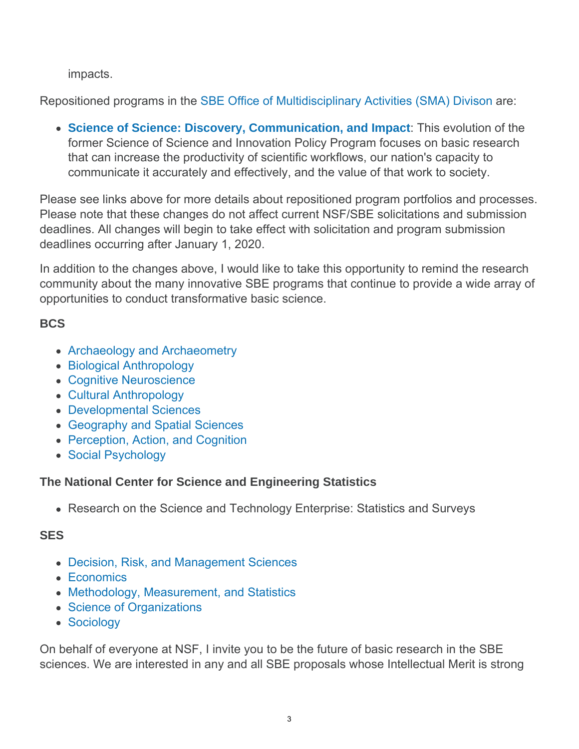impacts.

Repositioned programs in the [SBE Office of Multidisciplinary Activities \(SMA\) Divison](https://www.nsf.gov/div/index.jsp?div=SMA) are:

**[Science of Science: Discovery, Communication, and Impact](https://www.nsf.gov/funding/pgm_summ.jsp?pims_id=505730)**: This evolution of the former Science of Science and Innovation Policy Program focuses on basic research that can increase the productivity of scientific workflows, our nation's capacity to communicate it accurately and effectively, and the value of that work to society.

Please see links above for more details about repositioned program portfolios and processes. Please note that these changes do not affect current NSF/SBE solicitations and submission deadlines. All changes will begin to take effect with solicitation and program submission deadlines occurring after January 1, 2020.

In addition to the changes above, I would like to take this opportunity to remind the research community about the many innovative SBE programs that continue to provide a wide array of opportunities to conduct transformative basic science.

### **BCS**

- [Archaeology and Archaeometry](https://www.nsf.gov/funding/pgm_summ.jsp?pims_id=11690)
- [Biological Anthropology](https://www.nsf.gov/funding/pgm_summ.jsp?pims_id=5407)
- [Cognitive Neuroscience](https://www.nsf.gov/funding/pgm_summ.jsp?pims_id=5316)
- [Cultural Anthropology](https://www.nsf.gov/funding/pgm_summ.jsp?pims_id=505513)
- [Developmental Sciences](https://www.nsf.gov/funding/pgm_summ.jsp?pims_id=8671)
- [Geography and Spatial Sciences](https://www.nsf.gov/funding/pgm_summ.jsp?pims_id=505034)
- [Perception, Action, and Cognition](https://www.nsf.gov/funding/pgm_summ.jsp?pims_id=5686)
- [Social Psychology](https://www.nsf.gov/funding/pgm_summ.jsp?pims_id=5712)

#### **The National Center for Science and Engineering Statistics**

Research on the Science and Technology Enterprise: Statistics and Surveys

## **SES**

- [Decision, Risk, and Management Sciences](https://www.nsf.gov/funding/pgm_summ.jsp?pims_id=5423)
- [Economics](https://www.nsf.gov/funding/pgm_summ.jsp?pims_id=5437)
- [Methodology, Measurement, and Statistics](https://www.nsf.gov/funding/pgm_summ.jsp?pims_id=5421)
- [Science of Organizations](https://www.nsf.gov/funding/pgm_summ.jsp?pims_id=504696)
- [Sociology](https://www.nsf.gov/funding/pgm_summ.jsp?pims_id=5369)

On behalf of everyone at NSF, I invite you to be the future of basic research in the SBE sciences. We are interested in any and all SBE proposals whose Intellectual Merit is strong